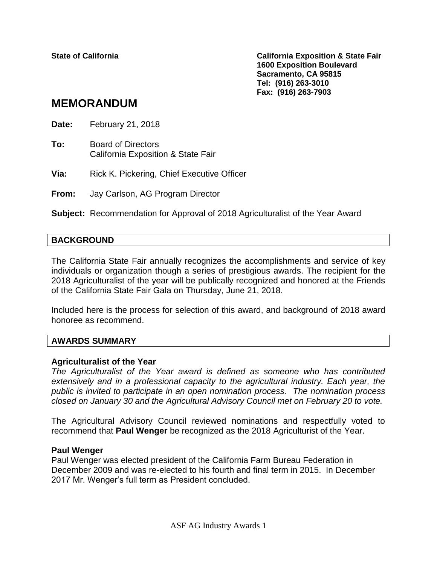**State of California California Exposition & State Fair 1600 Exposition Boulevard Sacramento, CA 95815 Tel: (916) 263-3010 Fax: (916) 263-7903**

# **MEMORANDUM**

**Date:** February 21, 2018

**To:** Board of Directors California Exposition & State Fair

**Via:** Rick K. Pickering, Chief Executive Officer

**From:** Jay Carlson, AG Program Director

**Subject:** Recommendation for Approval of 2018 Agriculturalist of the Year Award

### **BACKGROUND**

The California State Fair annually recognizes the accomplishments and service of key individuals or organization though a series of prestigious awards. The recipient for the 2018 Agriculturalist of the year will be publically recognized and honored at the Friends of the California State Fair Gala on Thursday, June 21, 2018.

Included here is the process for selection of this award, and background of 2018 award honoree as recommend.

#### **AWARDS SUMMARY**

#### **Agriculturalist of the Year**

*The Agriculturalist of the Year award is defined as someone who has contributed extensively and in a professional capacity to the agricultural industry. Each year, the public is invited to participate in an open nomination process. The nomination process closed on January 30 and the Agricultural Advisory Council met on February 20 to vote.*

The Agricultural Advisory Council reviewed nominations and respectfully voted to recommend that **Paul Wenger** be recognized as the 2018 Agriculturist of the Year.

#### **Paul Wenger**

Paul Wenger was elected president of the California Farm Bureau Federation in December 2009 and was re-elected to his fourth and final term in 2015. In December 2017 Mr. Wenger's full term as President concluded.